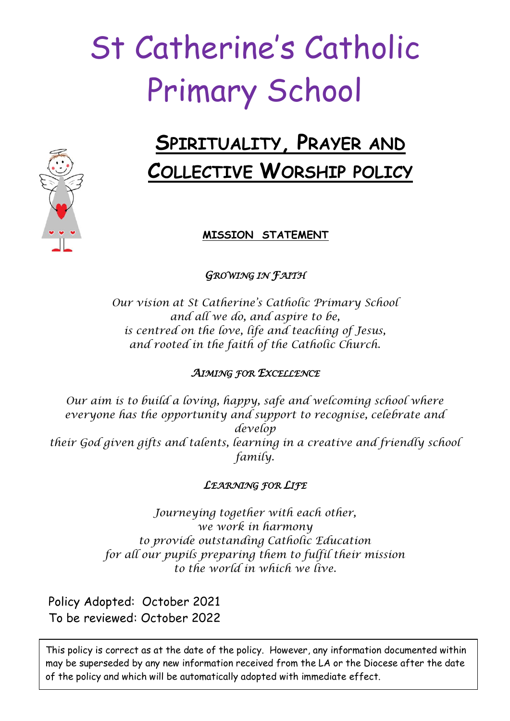# St Catherine's Catholic Primary School

# **SPIRITUALITY, PRAYER AND COLLECTIVE WORSHIP POLICY**

# **MISSION STATEMENT**

*GROWING IN FAITH* 

*Our vision at St Catherine's Catholic Primary School and all we do, and aspire to be, is centred on the love, life and teaching of Jesus, and rooted in the faith of the Catholic Church.*

# *AIMING FOR EXCELLENCE*

*Our aim is to build a loving, happy, safe and welcoming school where everyone has the opportunity and support to recognise, celebrate and develop their God given gifts and talents, learning in a creative and friendly school family.*

# *LEARNING FOR LIFE*

*Journeying together with each other, we work in harmony to provide outstanding Catholic Education for all our pupils preparing them to fulfil their mission to the world in which we live.*

Policy Adopted: October 2021 To be reviewed: October 2022

This policy is correct as at the date of the policy. However, any information documented within may be superseded by any new information received from the LA or the Diocese after the date of the policy and which will be automatically adopted with immediate effect.

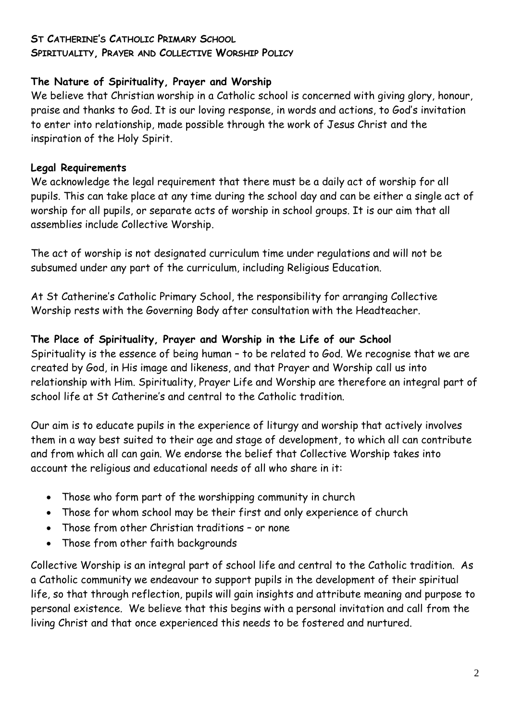#### **ST CATHERINE'S CATHOLIC PRIMARY SCHOOL**

#### **SPIRITUALITY, PRAYER AND COLLECTIVE WORSHIP POLICY**

#### **The Nature of Spirituality, Prayer and Worship**

We believe that Christian worship in a Catholic school is concerned with giving glory, honour, praise and thanks to God. It is our loving response, in words and actions, to God's invitation to enter into relationship, made possible through the work of Jesus Christ and the inspiration of the Holy Spirit.

# **Legal Requirements**

We acknowledge the legal requirement that there must be a daily act of worship for all pupils. This can take place at any time during the school day and can be either a single act of worship for all pupils, or separate acts of worship in school groups. It is our aim that all assemblies include Collective Worship.

The act of worship is not designated curriculum time under regulations and will not be subsumed under any part of the curriculum, including Religious Education.

At St Catherine's Catholic Primary School, the responsibility for arranging Collective Worship rests with the Governing Body after consultation with the Headteacher.

# **The Place of Spirituality, Prayer and Worship in the Life of our School**

Spirituality is the essence of being human – to be related to God. We recognise that we are created by God, in His image and likeness, and that Prayer and Worship call us into relationship with Him. Spirituality, Prayer Life and Worship are therefore an integral part of school life at St Catherine's and central to the Catholic tradition.

Our aim is to educate pupils in the experience of liturgy and worship that actively involves them in a way best suited to their age and stage of development, to which all can contribute and from which all can gain. We endorse the belief that Collective Worship takes into account the religious and educational needs of all who share in it:

- Those who form part of the worshipping community in church
- Those for whom school may be their first and only experience of church
- Those from other Christian traditions or none
- Those from other faith backgrounds

Collective Worship is an integral part of school life and central to the Catholic tradition. As a Catholic community we endeavour to support pupils in the development of their spiritual life, so that through reflection, pupils will gain insights and attribute meaning and purpose to personal existence. We believe that this begins with a personal invitation and call from the living Christ and that once experienced this needs to be fostered and nurtured.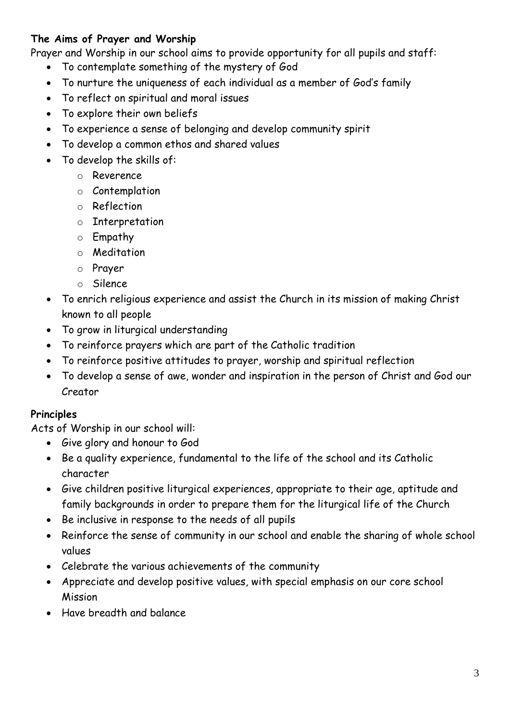# **The Aims of Prayer and Worship**

Prayer and Worship in our school aims to provide opportunity for all pupils and staff:

- To contemplate something of the mystery of God
- To nurture the uniqueness of each individual as a member of God's family
- To reflect on spiritual and moral issues
- To explore their own beliefs
- To experience a sense of belonging and develop community spirit
- To develop a common ethos and shared values
- To develop the skills of:
	- o Reverence
	- o Contemplation
	- o Reflection
	- o Interpretation
	- o Empathy
	- o Meditation
	- o Prayer
	- o Silence
- To enrich religious experience and assist the Church in its mission of making Christ known to all people
- To grow in liturgical understanding
- To reinforce prayers which are part of the Catholic tradition
- To reinforce positive attitudes to prayer, worship and spiritual reflection
- To develop a sense of awe, wonder and inspiration in the person of Christ and God our Creator

#### **Principles**

Acts of Worship in our school will:

- Give glory and honour to God
- Be a quality experience, fundamental to the life of the school and its Catholic character
- Give children positive liturgical experiences, appropriate to their age, aptitude and family backgrounds in order to prepare them for the liturgical life of the Church
- Be inclusive in response to the needs of all pupils
- Reinforce the sense of community in our school and enable the sharing of whole school values
- Celebrate the various achievements of the community
- Appreciate and develop positive values, with special emphasis on our core school Mission
- Have breadth and balance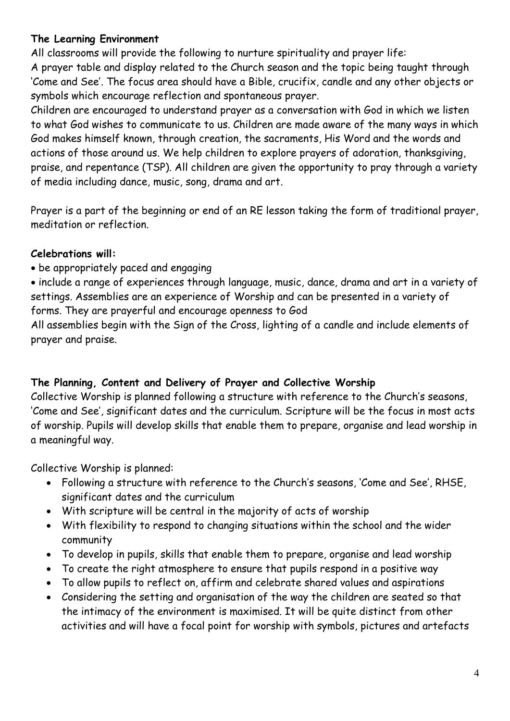# **The Learning Environment**

All classrooms will provide the following to nurture spirituality and prayer life:

A prayer table and display related to the Church season and the topic being taught through 'Come and See'. The focus area should have a Bible, crucifix, candle and any other objects or symbols which encourage reflection and spontaneous prayer.

Children are encouraged to understand prayer as a conversation with God in which we listen to what God wishes to communicate to us. Children are made aware of the many ways in which God makes himself known, through creation, the sacraments, His Word and the words and actions of those around us. We help children to explore prayers of adoration, thanksgiving, praise, and repentance (TSP). All children are given the opportunity to pray through a variety of media including dance, music, song, drama and art.

Prayer is a part of the beginning or end of an RE lesson taking the form of traditional prayer, meditation or reflection.

# **Celebrations will:**

be appropriately paced and engaging

 include a range of experiences through language, music, dance, drama and art in a variety of settings. Assemblies are an experience of Worship and can be presented in a variety of forms. They are prayerful and encourage openness to God

All assemblies begin with the Sign of the Cross, lighting of a candle and include elements of prayer and praise.

# **The Planning, Content and Delivery of Prayer and Collective Worship**

Collective Worship is planned following a structure with reference to the Church's seasons, 'Come and See', significant dates and the curriculum. Scripture will be the focus in most acts of worship. Pupils will develop skills that enable them to prepare, organise and lead worship in a meaningful way.

Collective Worship is planned:

- Following a structure with reference to the Church's seasons, 'Come and See', RHSE, significant dates and the curriculum
- With scripture will be central in the majority of acts of worship
- With flexibility to respond to changing situations within the school and the wider community
- To develop in pupils, skills that enable them to prepare, organise and lead worship
- To create the right atmosphere to ensure that pupils respond in a positive way
- To allow pupils to reflect on, affirm and celebrate shared values and aspirations
- Considering the setting and organisation of the way the children are seated so that the intimacy of the environment is maximised. It will be quite distinct from other activities and will have a focal point for worship with symbols, pictures and artefacts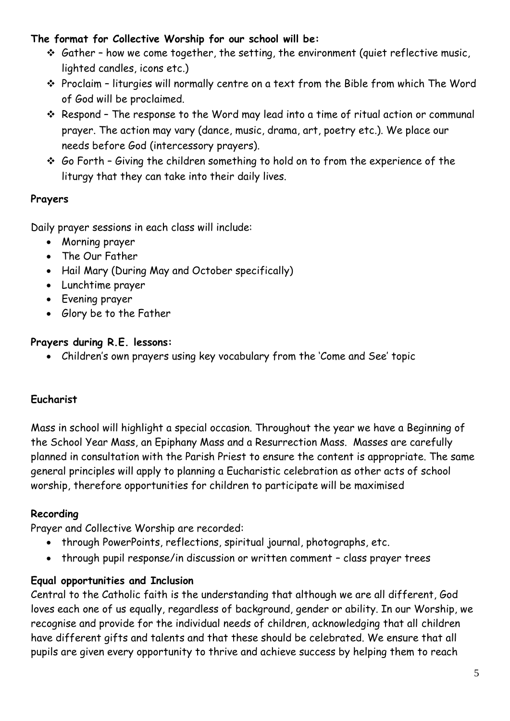# **The format for Collective Worship for our school will be:**

- $\cdot$  Gather how we come together, the setting, the environment (quiet reflective music, lighted candles, icons etc.)
- Proclaim liturgies will normally centre on a text from the Bible from which The Word of God will be proclaimed.
- Respond The response to the Word may lead into a time of ritual action or communal prayer. The action may vary (dance, music, drama, art, poetry etc.). We place our needs before God (intercessory prayers).
- $\div$  Go Forth Giving the children something to hold on to from the experience of the liturgy that they can take into their daily lives.

# **Prayers**

Daily prayer sessions in each class will include:

- Morning prayer
- The Our Father
- Hail Mary (During May and October specifically)
- Lunchtime prayer
- Evening prayer
- Glory be to the Father

# **Prayers during R.E. lessons:**

Children's own prayers using key vocabulary from the 'Come and See' topic

# **Eucharist**

Mass in school will highlight a special occasion. Throughout the year we have a Beginning of the School Year Mass, an Epiphany Mass and a Resurrection Mass. Masses are carefully planned in consultation with the Parish Priest to ensure the content is appropriate. The same general principles will apply to planning a Eucharistic celebration as other acts of school worship, therefore opportunities for children to participate will be maximised

# **Recording**

Prayer and Collective Worship are recorded:

- through PowerPoints, reflections, spiritual journal, photographs, etc.
- through pupil response/in discussion or written comment class prayer trees

# **Equal opportunities and Inclusion**

Central to the Catholic faith is the understanding that although we are all different, God loves each one of us equally, regardless of background, gender or ability. In our Worship, we recognise and provide for the individual needs of children, acknowledging that all children have different gifts and talents and that these should be celebrated. We ensure that all pupils are given every opportunity to thrive and achieve success by helping them to reach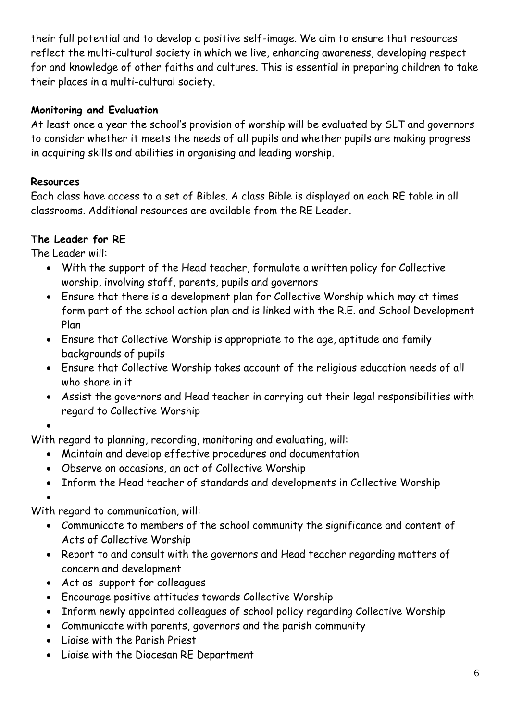their full potential and to develop a positive self-image. We aim to ensure that resources reflect the multi-cultural society in which we live, enhancing awareness, developing respect for and knowledge of other faiths and cultures. This is essential in preparing children to take their places in a multi-cultural society.

# **Monitoring and Evaluation**

At least once a year the school's provision of worship will be evaluated by SLT and governors to consider whether it meets the needs of all pupils and whether pupils are making progress in acquiring skills and abilities in organising and leading worship.

# **Resources**

Each class have access to a set of Bibles. A class Bible is displayed on each RE table in all classrooms. Additional resources are available from the RE Leader.

# **The Leader for RE**

The Leader will:

- With the support of the Head teacher, formulate a written policy for Collective worship, involving staff, parents, pupils and governors
- Ensure that there is a development plan for Collective Worship which may at times form part of the school action plan and is linked with the R.E. and School Development Plan
- Ensure that Collective Worship is appropriate to the age, aptitude and family backgrounds of pupils
- Ensure that Collective Worship takes account of the religious education needs of all who share in it
- Assist the governors and Head teacher in carrying out their legal responsibilities with regard to Collective Worship

 $\bullet$ 

With regard to planning, recording, monitoring and evaluating, will:

- Maintain and develop effective procedures and documentation
- Observe on occasions, an act of Collective Worship
- Inform the Head teacher of standards and developments in Collective Worship

 $\bullet$ 

With regard to communication, will:

- Communicate to members of the school community the significance and content of Acts of Collective Worship
- Report to and consult with the governors and Head teacher regarding matters of concern and development
- Act as support for colleagues
- Encourage positive attitudes towards Collective Worship
- Inform newly appointed colleagues of school policy regarding Collective Worship
- Communicate with parents, governors and the parish community
- Liaise with the Parish Priest
- Liaise with the Diocesan RE Department